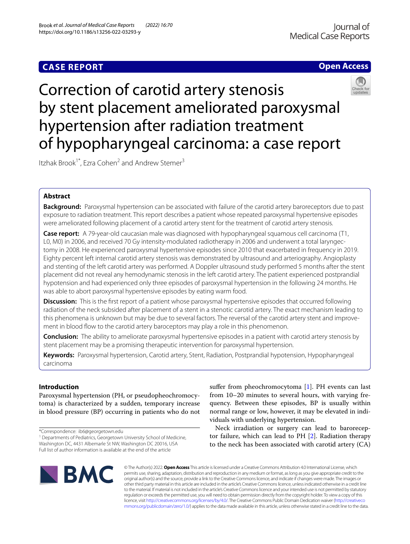# **Open Access**



# Correction of carotid artery stenosis by stent placement ameliorated paroxysmal hypertension after radiation treatment of hypopharyngeal carcinoma: a case report

Itzhak Brook<sup>1\*</sup>, Ezra Cohen<sup>2</sup> and Andrew Stemer<sup>3</sup>

# **Abstract**

**Background:** Paroxysmal hypertension can be associated with failure of the carotid artery baroreceptors due to past exposure to radiation treatment. This report describes a patient whose repeated paroxysmal hypertensive episodes were ameliorated following placement of a carotid artery stent for the treatment of carotid artery stenosis.

**Case report:** A 79-year-old caucasian male was diagnosed with hypopharyngeal squamous cell carcinoma (T1, L0, M0) in 2006, and received 70 Gy intensity-modulated radiotherapy in 2006 and underwent a total laryngectomy in 2008. He experienced paroxysmal hypertensive episodes since 2010 that exacerbated in frequency in 2019. Eighty percent left internal carotid artery stenosis was demonstrated by ultrasound and arteriography. Angioplasty and stenting of the left carotid artery was performed. A Doppler ultrasound study performed 5 months after the stent placement did not reveal any hemodynamic stenosis in the left carotid artery. The patient experienced postprandial hypotension and had experienced only three episodes of paroxysmal hypertension in the following 24 months. He was able to abort paroxysmal hypertensive episodes by eating warm food.

**Discussion:** This is the first report of a patient whose paroxysmal hypertensive episodes that occurred following radiation of the neck subsided after placement of a stent in a stenotic carotid artery. The exact mechanism leading to this phenomena is unknown but may be due to several factors. The reversal of the carotid artery stent and improvement in blood flow to the carotid artery baroceptors may play a role in this phenomenon.

**Conclusion:** The ability to ameliorate paroxysmal hypertensive episodes in a patient with carotid artery stenosis by stent placement may be a promising therapeutic intervention for paroxysmal hypertension.

**Keywords:** Paroxysmal hypertension, Carotid artery, Stent, Radiation, Postprandial hypotension, Hypopharyngeal carcinoma

# **Introduction**

Paroxysmal hypertension (PH, or pseudopheochromocytoma) is characterized by a sudden, temporary increase in blood pressure (BP) occurring in patients who do not

<sup>1</sup> Departments of Pediatrics, Georgetown University School of Medicine, Washington DC, 4431 Albemarle St NW, Washington DC 20016, USA Full list of author information is available at the end of the article

suffer from pheochromocytoma [\[1](#page-3-0)]. PH events can last from 10–20 minutes to several hours, with varying frequency. Between these episodes, BP is usually within normal range or low, however, it may be elevated in individuals with underlying hypertension.

Neck irradiation or surgery can lead to baroreceptor failure, which can lead to PH [[2\]](#page-3-1). Radiation therapy to the neck has been associated with carotid artery (CA)



© The Author(s) 2022. **Open Access** This article is licensed under a Creative Commons Attribution 4.0 International License, which permits use, sharing, adaptation, distribution and reproduction in any medium or format, as long as you give appropriate credit to the original author(s) and the source, provide a link to the Creative Commons licence, and indicate if changes were made. The images or other third party material in this article are included in the article's Creative Commons licence, unless indicated otherwise in a credit line to the material. If material is not included in the article's Creative Commons licence and your intended use is not permitted by statutory regulation or exceeds the permitted use, you will need to obtain permission directly from the copyright holder. To view a copy of this licence, visit [http://creativecommons.org/licenses/by/4.0/.](http://creativecommons.org/licenses/by/4.0/) The Creative Commons Public Domain Dedication waiver ([http://creativeco](http://creativecommons.org/publicdomain/zero/1.0/) [mmons.org/publicdomain/zero/1.0/](http://creativecommons.org/publicdomain/zero/1.0/)) applies to the data made available in this article, unless otherwise stated in a credit line to the data.

<sup>\*</sup>Correspondence: ib6@georgetown.edu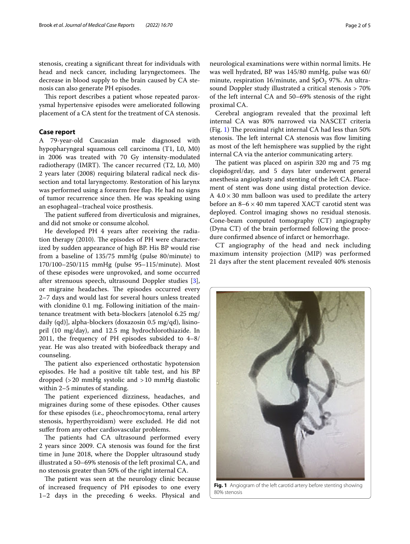stenosis, creating a signifcant threat for individuals with head and neck cancer, including laryngectomees. The decrease in blood supply to the brain caused by CA stenosis can also generate PH episodes.

This report describes a patient whose repeated paroxysmal hypertensive episodes were ameliorated following placement of a CA stent for the treatment of CA stenosis.

# **Case report**

A 79-year-old Caucasian male diagnosed with hypopharyngeal squamous cell carcinoma (T1, L0, M0) in 2006 was treated with 70 Gy intensity-modulated radiotherapy (IMRT). The cancer recurred (T2, L0, M0) 2 years later (2008) requiring bilateral radical neck dissection and total laryngectomy. Restoration of his larynx was performed using a forearm free fap. He had no signs of tumor recurrence since then. He was speaking using an esophageal–tracheal voice prosthesis.

The patient suffered from diverticulosis and migraines, and did not smoke or consume alcohol.

He developed PH 4 years after receiving the radiation therapy (2010). The episodes of PH were characterized by sudden appearance of high BP. His BP would rise from a baseline of 135/75 mmHg (pulse 80/minute) to 170/100–250/115 mmHg (pulse 95–115/minute). Most of these episodes were unprovoked, and some occurred after strenuous speech, ultrasound Doppler studies [\[3](#page-3-2)], or migraine headaches. The episodes occurred every 2–7 days and would last for several hours unless treated with clonidine 0.1 mg. Following initiation of the maintenance treatment with beta-blockers [atenolol 6.25 mg/ daily (qd)], alpha-blockers (doxazosin 0.5 mg/qd), lisinopril (10 mg/day), and 12.5 mg hydrochlorothiazide. In 2011, the frequency of PH episodes subsided to 4–8/ year. He was also treated with biofeedback therapy and counseling.

The patient also experienced orthostatic hypotension episodes. He had a positive tilt table test, and his BP dropped (>20 mmHg systolic and >10 mmHg diastolic within 2–5 minutes of standing.

The patient experienced dizziness, headaches, and migraines during some of these episodes. Other causes for these episodes (i.e., pheochromocytoma, renal artery stenosis, hyperthyroidism) were excluded. He did not suffer from any other cardiovascular problems.

The patients had CA ultrasound performed every 2 years since 2009. CA stenosis was found for the frst time in June 2018, where the Doppler ultrasound study illustrated a 50–69% stenosis of the left proximal CA, and no stenosis greater than 50% of the right internal CA.

<span id="page-1-0"></span>The patient was seen at the neurology clinic because of increased frequency of PH episodes to one every 1–2 days in the preceding 6 weeks. Physical and neurological examinations were within normal limits. He was well hydrated, BP was 145/80 mmHg, pulse was 60/ minute, respiration 16/minute, and  $SpO<sub>2</sub>$  97%. An ultrasound Doppler study illustrated a critical stenosis > 70% of the left internal CA and 50–69% stenosis of the right proximal CA.

Cerebral angiogram revealed that the proximal left internal CA was 80% narrowed via NASCET criteria (Fig. [1](#page-1-0)) The proximal right internal CA had less than  $50\%$ stenosis. The left internal CA stenosis was flow limiting as most of the left hemisphere was supplied by the right internal CA via the anterior communicating artery.

The patient was placed on aspirin 320 mg and 75 mg clopidogrel/day, and 5 days later underwent general anesthesia angioplasty and stenting of the left CA. Placement of stent was done using distal protection device. A  $4.0 \times 30$  mm balloon was used to predilate the artery before an  $8-6 \times 40$  mm tapered XACT carotid stent was deployed. Control imaging shows no residual stenosis. Cone-beam computed tomography (CT) angiography (Dyna CT) of the brain performed following the procedure confrmed absence of infarct or hemorrhage.

CT angiography of the head and neck including maximum intensity projection (MIP) was performed 21 days after the stent placement revealed 40% stenosis



**Fig. 1** Angiogram of the left carotid artery before stenting showing 80% stenosis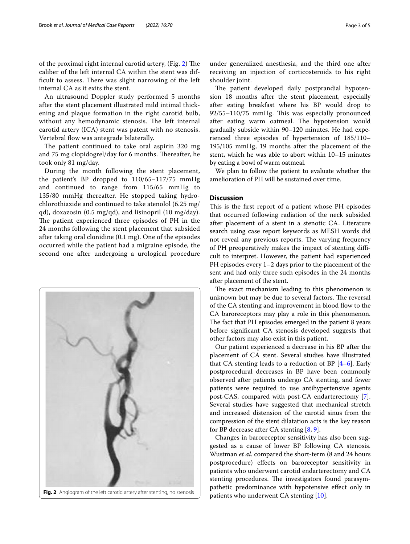of the proximal right internal carotid artery, (Fig. [2](#page-2-0)) The caliber of the left internal CA within the stent was difficult to assess. There was slight narrowing of the left internal CA as it exits the stent.

An ultrasound Doppler study performed 5 months after the stent placement illustrated mild intimal thickening and plaque formation in the right carotid bulb, without any hemodynamic stenosis. The left internal carotid artery (ICA) stent was patent with no stenosis. Vertebral fow was antegrade bilaterally.

The patient continued to take oral aspirin 320 mg and 75 mg clopidogrel/day for 6 months. Thereafter, he took only 81 mg/day.

During the month following the stent placement, the patient's BP dropped to 110/65–117/75 mmHg and continued to range from 115/65 mmHg to 135/80 mmHg thereafter. He stopped taking hydrochlorothiazide and continued to take atenolol (6.25 mg/ qd), doxazosin (0.5 mg/qd), and lisinopril (10 mg/day). The patient experienced three episodes of PH in the 24 months following the stent placement that subsided after taking oral clonidine (0.1 mg). One of the episodes occurred while the patient had a migraine episode, the second one after undergoing a urological procedure



under generalized anesthesia, and the third one after receiving an injection of corticosteroids to his right shoulder joint.

The patient developed daily postprandial hypotension 18 months after the stent placement, especially after eating breakfast where his BP would drop to 92/55–110/75 mmHg. This was especially pronounced after eating warm oatmeal. The hypotension would gradually subside within 90–120 minutes. He had experienced three episodes of hypertension of 185/110– 195/105 mmHg, 19 months after the placement of the stent, which he was able to abort within 10–15 minutes by eating a bowl of warm oatmeal.

We plan to follow the patient to evaluate whether the amelioration of PH will be sustained over time.

# **Discussion**

This is the first report of a patient whose PH episodes that occurred following radiation of the neck subsided after placement of a stent in a stenotic CA. Literature search using case report keywords as MESH words did not reveal any previous reports. The varying frequency of PH preoperatively makes the impact of stenting difficult to interpret. However, the patient had experienced PH episodes every 1–2 days prior to the placement of the sent and had only three such episodes in the 24 months after placement of the stent.

The exact mechanism leading to this phenomenon is unknown but may be due to several factors. The reversal of the CA stenting and improvement in blood flow to the CA baroreceptors may play a role in this phenomenon. The fact that PH episodes emerged in the patient 8 years before signifcant CA stenosis developed suggests that other factors may also exist in this patient.

Our patient experienced a decrease in his BP after the placement of CA stent. Several studies have illustrated that CA stenting leads to a reduction of BP [\[4](#page-3-3)[–6](#page-3-4)]. Early postprocedural decreases in BP have been commonly observed after patients undergo CA stenting, and fewer patients were required to use antihypertensive agents post-CAS, compared with post-CA endarterectomy [\[7](#page-3-5)]. Several studies have suggested that mechanical stretch and increased distension of the carotid sinus from the compression of the stent dilatation acts is the key reason for BP decrease after CA stenting  $[8, 9]$  $[8, 9]$  $[8, 9]$ .

<span id="page-2-0"></span>Changes in baroreceptor sensitivity has also been suggested as a cause of lower BP following CA stenosis. Wustman *et al*. compared the short-term (8 and 24 hours postprocedure) efects on baroreceptor sensitivity in patients who underwent carotid endarterectomy and CA stenting procedures. The investigators found parasympathetic predominance with hypotensive efect only in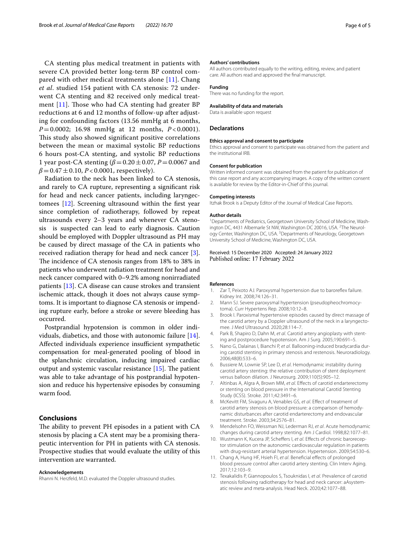CA stenting plus medical treatment in patients with severe CA provided better long-term BP control compared with other medical treatments alone  $[11]$ . Chang *et al*. studied 154 patient with CA stenosis: 72 underwent CA stenting and 82 received only medical treatment  $[11]$  $[11]$  $[11]$ . Those who had CA stenting had greater BP reductions at 6 and 12 months of follow-up after adjusting for confounding factors (13.56 mmHg at 6 months, *P*=0.0002; 16.98 mmHg at 12 months, *P* < 0.0001). This study also showed significant positive correlations between the mean or maximal systolic BP reductions 6 hours post-CA stenting, and systolic BP reductions 1 year post-CA stenting (*β*=0.20±0.07, *P*=0.0067 and  $\beta = 0.47 \pm 0.10$ , *P* < 0.0001, respectively).

Radiation to the neck has been linked to CA stenosis, and rarely to CA rupture, representing a signifcant risk for head and neck cancer patients, including laryngectomees [\[12](#page-3-10)]. Screening ultrasound within the frst year since completion of radiotherapy, followed by repeat ultrasounds every 2–3 years and whenever CA stenosis is suspected can lead to early diagnosis. Caution should be employed with Doppler ultrasound as PH may be caused by direct massage of the CA in patients who received radiation therapy for head and neck cancer [\[3](#page-3-2)]. The incidence of CA stenosis ranges from 18% to 38% in patients who underwent radiation treatment for head and neck cancer compared with 0–9.2% among nonirradiated patients [\[13](#page-4-0)]. CA disease can cause strokes and transient ischemic attack, though it does not always cause symptoms. It is important to diagnose CA stenosis or impending rupture early, before a stroke or severe bleeding has occurred.

Postprandial hypotension is common in older individuals, diabetics, and those with autonomic failure [\[14](#page-4-1)]. Affected individuals experience insufficient sympathetic compensation for meal-generated pooling of blood in the splanchnic circulation, inducing impaired cardiac output and systemic vascular resistance  $[15]$  $[15]$ . The patient was able to take advantage of his postprandial hypotension and reduce his hypertensive episodes by consuming warm food.

## **Conclusions**

The ability to prevent PH episodes in a patient with CA stenosis by placing a CA stent may be a promising therapeutic intervention for PH in patients with CA stenosis. Prospective studies that would evaluate the utility of this intervention are warranted.

#### **Acknowledgements**

Rhanni N. Herzfeld, M.D. evaluated the Doppler ultrasound studies.

#### **Authors' contributions**

All authors contributed equally to the writing, editing, review, and patient care. All authors read and approved the fnal manuscript.

#### **Funding**

There was no funding for the report.

#### **Availability of data and materials**

Data is available upon request

### **Declarations**

#### **Ethics approval and consent to participate**

Ethics approval and consent to participate was obtained from the patient and the institutional IRB.

## **Consent for publication**

Written informed consent was obtained from the patient for publication of this case report and any accompanying images. A copy of the written consent is available for review by the Editor-in-Chief of this journal.

#### **Competing interests**

Itzhak Brook is a Deputy Editor of the Journal of Medical Case Reports.

#### **Author details**

<sup>1</sup> Departments of Pediatrics, Georgetown University School of Medicine, Washington DC, 4431 Albemarle St NW, Washington DC 20016, USA. <sup>2</sup>The Neurology Center, Washington DC, USA.<sup>3</sup> Departments of Neurology, Georgetown University School of Medicine, Washington DC, USA.

Received: 15 December 2020 Accepted: 24 January 2022 Published online: 17 February 2022

#### **References**

- <span id="page-3-0"></span>1. Zar T, Peixoto AJ. Paroxysmal hypertension due to barorefex failure. Kidney Int. 2008;74:126–31.
- <span id="page-3-1"></span>2. Mann SJ. Severe paroxysmal hypertension (pseudopheochromocytoma). Curr Hypertens Rep. 2008;10:12–8.
- <span id="page-3-2"></span>3. Brook I. Paroxismal hypertensive episodes caused by direct massage of the carotid artery by a Doppler ultrasound of the neck in a laryngectomee. J Med Ultrasound. 2020;28:114–7.
- <span id="page-3-3"></span>4. Park B, Shapiro D, Dahn M, *et al*. Carotid artery angioplasty with stenting and postprocedure hypotension. Am J Surg. 2005;190:691–5.
- 5. Nano G, Dalainas I, Bianchi P, *et al*. Ballooning-induced bradycardia during carotid stenting in primary stenosis and restenosis. Neuroradiology. 2006;48(8):533–6.
- <span id="page-3-4"></span>6. Bussiere M, Lownie SP, Lee D, *et al*. Hemodynamic instability during carotid artery stenting: the relative contribution of stent deployment versus balloon dilation. J Neurosurg. 2009;110(5):905–12.
- <span id="page-3-5"></span>7. Altinbas A, Algra A, Brown MM, *et al*. Efects of carotid endarterectomy or stenting on blood pressure in the International Carotid Stenting Study (ICSS). Stroke. 2011;42:3491–6.
- <span id="page-3-6"></span>8. McKevitt FM, Sivaguru A, Venables GS, *et al*. Efect of treatment of carotid artery stenosis on blood pressure: a comparison of hemodynamic disturbances after carotid endarterectomy and endovascular treatment. Stroke. 2003;34:2576–81.
- <span id="page-3-7"></span>9. Mendelsohn FO, Weissman NJ, Lederman RJ, *et al*. Acute hemodynamic changes during carotid artery stenting. Am J Cardiol. 1998;82:1077–81.
- <span id="page-3-8"></span>10. Wustmann K, Kucera JP, Schefers I, *et al*. Efects of chronic baroreceptor stimulation on the autonomic cardiovascular regulation in patients with drug-resistant arterial hypertension. Hypertension. 2009;54:530–6.
- <span id="page-3-9"></span>11. Chang A, Hung HF, Hsieh FI, *et al*. Benefcial efects of prolonged blood pressure control after carotid artery stenting. Clin Interv Aging. 2017;12:103–9.
- <span id="page-3-10"></span>12. Texakalidis P, Giannopoulos S, Tsouknidas I, *et al*. Prevalence of carotid stenosis following radiotherapy for head and neck cancer: aAsystematic review and meta-analysis. Head Neck. 2020;42:1077–88.